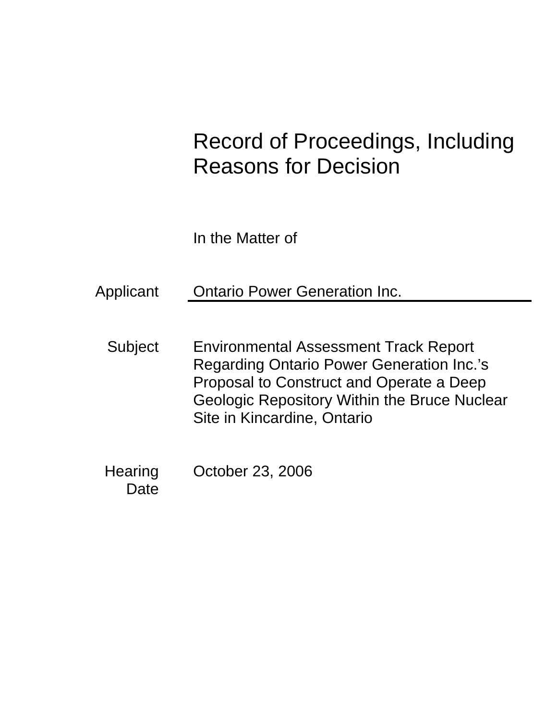# Record of Proceedings, Including Reasons for Decision

In the Matter of

Applicant Ontario Power Generation Inc.

- Subject Environmental Assessment Track Report Regarding Ontario Power Generation Inc.'s Proposal to Construct and Operate a Deep Geologic Repository Within the Bruce Nuclear Site in Kincardine, Ontario
- Hearing October 23, 2006 **Date**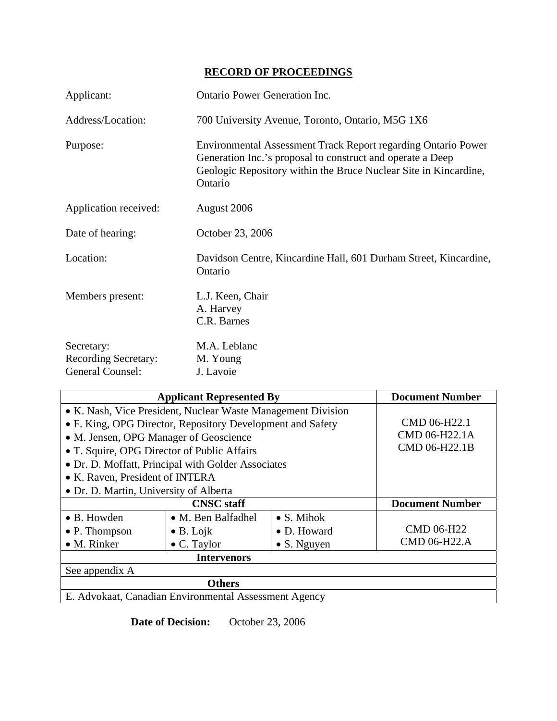# **RECORD OF PROCEEDINGS**

| Applicant:                                                           | <b>Ontario Power Generation Inc.</b>                                                                                                                                                                       |
|----------------------------------------------------------------------|------------------------------------------------------------------------------------------------------------------------------------------------------------------------------------------------------------|
| Address/Location:                                                    | 700 University Avenue, Toronto, Ontario, M5G 1X6                                                                                                                                                           |
| Purpose:                                                             | Environmental Assessment Track Report regarding Ontario Power<br>Generation Inc.'s proposal to construct and operate a Deep<br>Geologic Repository within the Bruce Nuclear Site in Kincardine,<br>Ontario |
| Application received:                                                | August 2006                                                                                                                                                                                                |
| Date of hearing:                                                     | October 23, 2006                                                                                                                                                                                           |
| Location:                                                            | Davidson Centre, Kincardine Hall, 601 Durham Street, Kincardine,<br>Ontario                                                                                                                                |
| Members present:                                                     | L.J. Keen, Chair<br>A. Harvey<br>C.R. Barnes                                                                                                                                                               |
| Secretary:<br><b>Recording Secretary:</b><br><b>General Counsel:</b> | M.A. Leblanc<br>M. Young<br>J. Lavoie                                                                                                                                                                      |

| <b>Applicant Represented By</b>                              |                            |                     | <b>Document Number</b> |
|--------------------------------------------------------------|----------------------------|---------------------|------------------------|
| • K. Nash, Vice President, Nuclear Waste Management Division |                            |                     |                        |
| • F. King, OPG Director, Repository Development and Safety   |                            |                     | CMD 06-H22.1           |
| • M. Jensen, OPG Manager of Geoscience                       |                            |                     | CMD 06-H22.1A          |
| • T. Squire, OPG Director of Public Affairs                  |                            |                     | CMD 06-H22.1B          |
| • Dr. D. Moffatt, Principal with Golder Associates           |                            |                     |                        |
| • K. Raven, President of INTERA                              |                            |                     |                        |
| • Dr. D. Martin, University of Alberta                       |                            |                     |                        |
|                                                              |                            |                     |                        |
|                                                              | <b>CNSC</b> staff          |                     | <b>Document Number</b> |
| • B. Howden                                                  | $\bullet$ M. Ben Balfadhel | $\bullet$ S. Mihok  |                        |
| $\bullet$ P. Thompson                                        | $\bullet$ B. Lojk          | • D. Howard         | <b>CMD 06-H22</b>      |
| $\bullet$ M. Rinker                                          | $\bullet$ C. Taylor        | $\bullet$ S. Nguyen | CMD 06-H22.A           |
|                                                              | <b>Intervenors</b>         |                     |                        |
| See appendix A                                               |                            |                     |                        |
|                                                              | <b>Others</b>              |                     |                        |

**Date of Decision:** October 23, 2006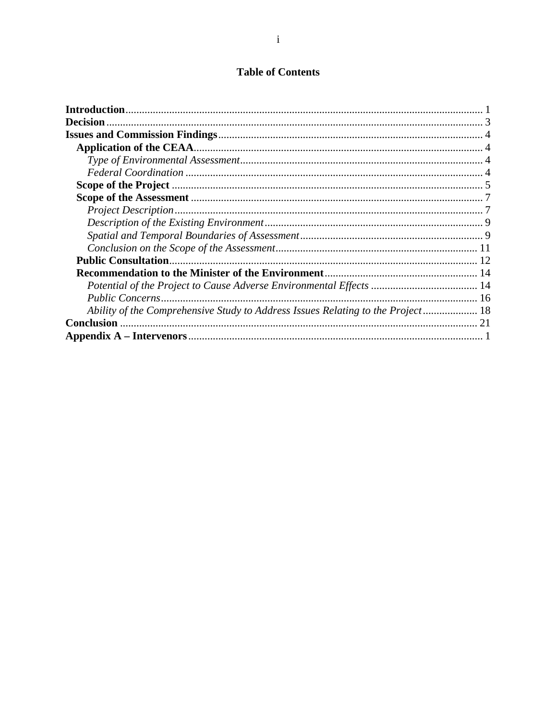# **Table of Contents**

| <b>Decision</b>                                                                 |  |
|---------------------------------------------------------------------------------|--|
|                                                                                 |  |
|                                                                                 |  |
|                                                                                 |  |
|                                                                                 |  |
|                                                                                 |  |
|                                                                                 |  |
|                                                                                 |  |
|                                                                                 |  |
|                                                                                 |  |
|                                                                                 |  |
|                                                                                 |  |
|                                                                                 |  |
|                                                                                 |  |
|                                                                                 |  |
| Ability of the Comprehensive Study to Address Issues Relating to the Project 18 |  |
| <b>Conclusion</b>                                                               |  |
|                                                                                 |  |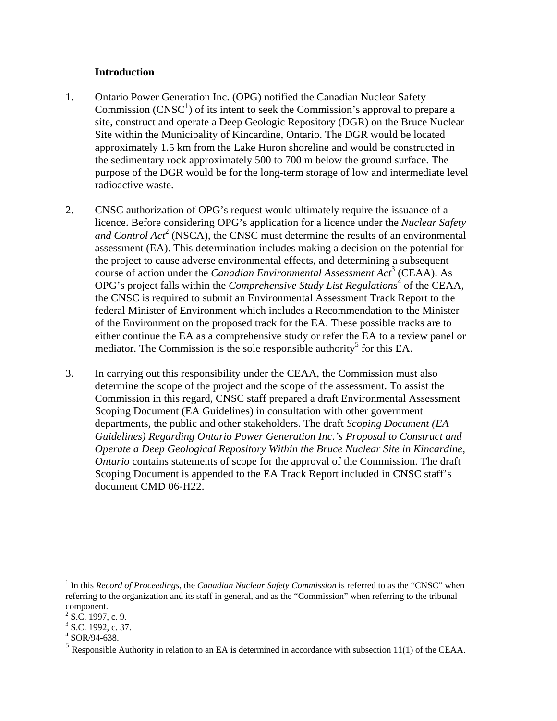#### **Introduction**

- 1. Ontario Power Generation Inc. (OPG) notified the Canadian Nuclear Safety Commission  $(CNSC<sup>1</sup>)$  of its intent to seek the Commission's approval to prepare a site, construct and operate a Deep Geologic Repository (DGR) on the Bruce Nuclear Site within the Municipality of Kincardine, Ontario. The DGR would be located approximately 1.5 km from the Lake Huron shoreline and would be constructed in the sedimentary rock approximately 500 to 700 m below the ground surface. The purpose of the DGR would be for the long-term storage of low and intermediate level radioactive waste.
- 2. CNSC authorization of OPG's request would ultimately require the issuance of a licence. Before considering OPG's application for a licence under the *Nuclear Safety and Control Act*<sup>2</sup> (NSCA), the CNSC must determine the results of an environmental assessment (EA). This determination includes making a decision on the potential for the project to cause adverse environmental effects, and determining a subsequent course of action under the *Canadian Environmental Assessment Act*<sup>3</sup> (CEAA). As OPG's project falls within the *Comprehensive Study List Regulations*<sup>4</sup> of the CEAA, the CNSC is required to submit an Environmental Assessment Track Report to the federal Minister of Environment which includes a Recommendation to the Minister of the Environment on the proposed track for the EA. These possible tracks are to either continue the EA as a comprehensive study or refer the EA to a review panel or mediator. The Commission is the sole responsible authority<sup>5</sup> for this EA.
- 3. In carrying out this responsibility under the CEAA, the Commission must also determine the scope of the project and the scope of the assessment. To assist the Commission in this regard, CNSC staff prepared a draft Environmental Assessment Scoping Document (EA Guidelines) in consultation with other government departments, the public and other stakeholders. The draft *Scoping Document (EA Guidelines) Regarding Ontario Power Generation Inc.'s Proposal to Construct and Operate a Deep Geological Repository Within the Bruce Nuclear Site in Kincardine, Ontario* contains statements of scope for the approval of the Commission. The draft Scoping Document is appended to the EA Track Report included in CNSC staff's document CMD 06-H22.

 $\overline{a}$ 

<sup>&</sup>lt;sup>1</sup> In this *Record of Proceedings*, the *Canadian Nuclear Safety Commission* is referred to as the "CNSC" when referring to the organization and its staff in general, and as the "Commission" when referring to the tribunal component.

 $2^2$  S.C. 1997, c. 9.

 $3$  S.C. 1992, c. 37.

 $4$  SOR/94-638.

 $<sup>5</sup>$  Responsible Authority in relation to an EA is determined in accordance with subsection 11(1) of the CEAA.</sup>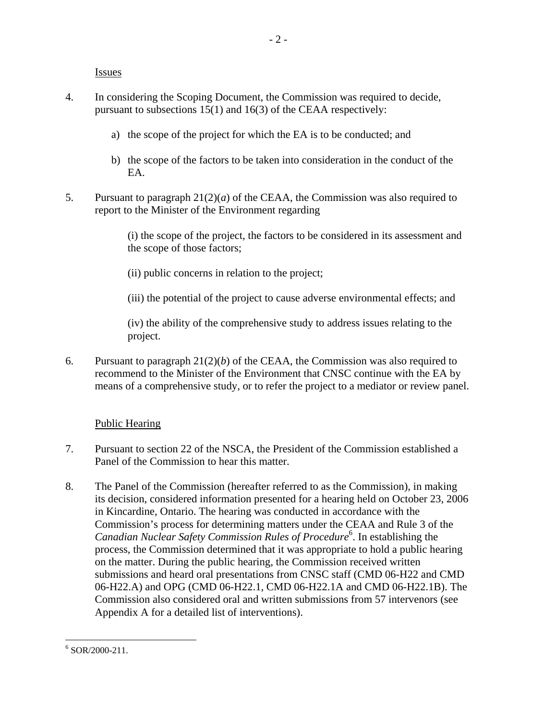**Issues** 

- 4. In considering the Scoping Document, the Commission was required to decide, pursuant to subsections 15(1) and 16(3) of the CEAA respectively:
	- a) the scope of the project for which the EA is to be conducted; and
	- b) the scope of the factors to be taken into consideration in the conduct of the EA.
- 5. Pursuant to paragraph 21(2)(*a*) of the CEAA, the Commission was also required to report to the Minister of the Environment regarding

(i) the scope of the project, the factors to be considered in its assessment and the scope of those factors;

(ii) public concerns in relation to the project;

(iii) the potential of the project to cause adverse environmental effects; and

(iv) the ability of the comprehensive study to address issues relating to the project.

6. Pursuant to paragraph 21(2)(*b*) of the CEAA, the Commission was also required to recommend to the Minister of the Environment that CNSC continue with the EA by means of a comprehensive study, or to refer the project to a mediator or review panel.

#### Public Hearing

- 7. Pursuant to section 22 of the NSCA, the President of the Commission established a Panel of the Commission to hear this matter.
- 8. The Panel of the Commission (hereafter referred to as the Commission), in making its decision, considered information presented for a hearing held on October 23, 2006 in Kincardine, Ontario. The hearing was conducted in accordance with the Commission's process for determining matters under the CEAA and Rule 3 of the Canadian Nuclear Safety Commission Rules of Procedure<sup>6</sup>. In establishing the process, the Commission determined that it was appropriate to hold a public hearing on the matter. During the public hearing, the Commission received written submissions and heard oral presentations from CNSC staff (CMD 06-H22 and CMD 06-H22.A) and OPG (CMD 06-H22.1, CMD 06-H22.1A and CMD 06-H22.1B). The Commission also considered oral and written submissions from 57 intervenors (see Appendix A for a detailed list of interventions).

<sup>&</sup>lt;u>.</u>  $6$  SOR/2000-211.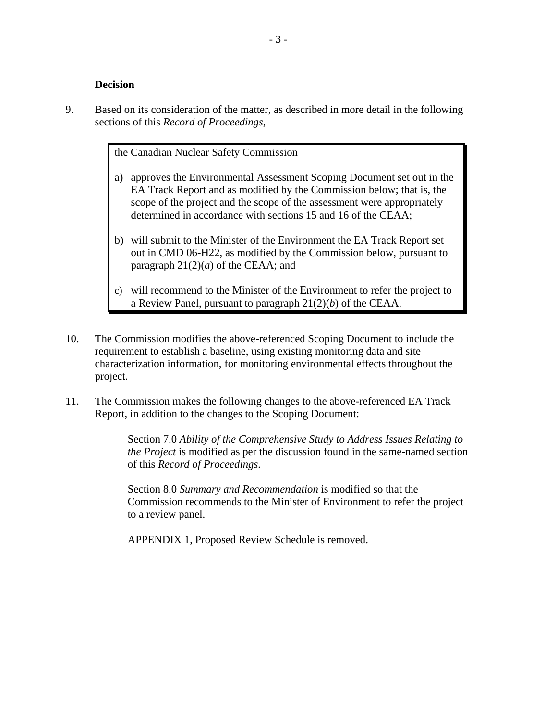#### **Decision**

9. Based on its consideration of the matter, as described in more detail in the following sections of this *Record of Proceedings*,

the Canadian Nuclear Safety Commission

- a) approves the Environmental Assessment Scoping Document set out in the EA Track Report and as modified by the Commission below; that is, the scope of the project and the scope of the assessment were appropriately determined in accordance with sections 15 and 16 of the CEAA;
- b) will submit to the Minister of the Environment the EA Track Report set out in CMD 06-H22, as modified by the Commission below, pursuant to paragraph  $21(2)(a)$  of the CEAA; and
- c) will recommend to the Minister of the Environment to refer the project to a Review Panel, pursuant to paragraph 21(2)(*b*) of the CEAA.
- 10. The Commission modifies the above-referenced Scoping Document to include the requirement to establish a baseline, using existing monitoring data and site characterization information, for monitoring environmental effects throughout the project.
- 11. The Commission makes the following changes to the above-referenced EA Track Report, in addition to the changes to the Scoping Document:

Section 7.0 *Ability of the Comprehensive Study to Address Issues Relating to the Project* is modified as per the discussion found in the same-named section of this *Record of Proceedings*.

Section 8.0 *Summary and Recommendation* is modified so that the Commission recommends to the Minister of Environment to refer the project to a review panel.

APPENDIX 1, Proposed Review Schedule is removed.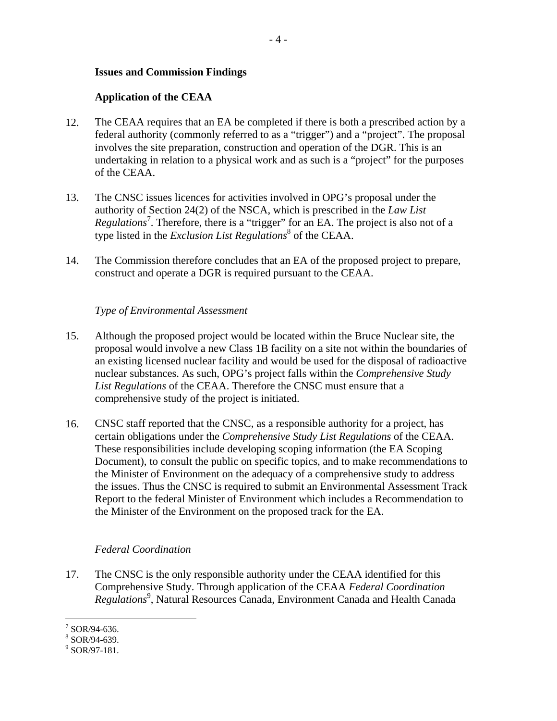#### **Issues and Commission Findings**

#### **Application of the CEAA**

- 12. The CEAA requires that an EA be completed if there is both a prescribed action by a federal authority (commonly referred to as a "trigger") and a "project". The proposal involves the site preparation, construction and operation of the DGR. This is an undertaking in relation to a physical work and as such is a "project" for the purposes of the CEAA.
- 13. The CNSC issues licences for activities involved in OPG's proposal under the authority of Section 24(2) of the NSCA, which is prescribed in the *Law List Regulations*<sup>7</sup> . Therefore, there is a "trigger" for an EA. The project is also not of a type listed in the *Exclusion List Regulations*<sup>8</sup> of the CEAA.
- 14. The Commission therefore concludes that an EA of the proposed project to prepare, construct and operate a DGR is required pursuant to the CEAA.

#### *Type of Environmental Assessment*

- 15. Although the proposed project would be located within the Bruce Nuclear site, the proposal would involve a new Class 1B facility on a site not within the boundaries of an existing licensed nuclear facility and would be used for the disposal of radioactive nuclear substances. As such, OPG's project falls within the *Comprehensive Study List Regulations* of the CEAA. Therefore the CNSC must ensure that a comprehensive study of the project is initiated.
- 16. CNSC staff reported that the CNSC, as a responsible authority for a project, has certain obligations under the *Comprehensive Study List Regulations* of the CEAA. These responsibilities include developing scoping information (the EA Scoping Document), to consult the public on specific topics, and to make recommendations to the Minister of Environment on the adequacy of a comprehensive study to address the issues. Thus the CNSC is required to submit an Environmental Assessment Track Report to the federal Minister of Environment which includes a Recommendation to the Minister of the Environment on the proposed track for the EA.

#### *Federal Coordination*

17. The CNSC is the only responsible authority under the CEAA identified for this Comprehensive Study. Through application of the CEAA *Federal Coordination*  Regulations<sup>9</sup>, Natural Resources Canada, Environment Canada and Health Canada

 $\overline{a}$  $7$  SOR/94-636.

<sup>8</sup> SOR/94-639.

<sup>9</sup> SOR/97-181.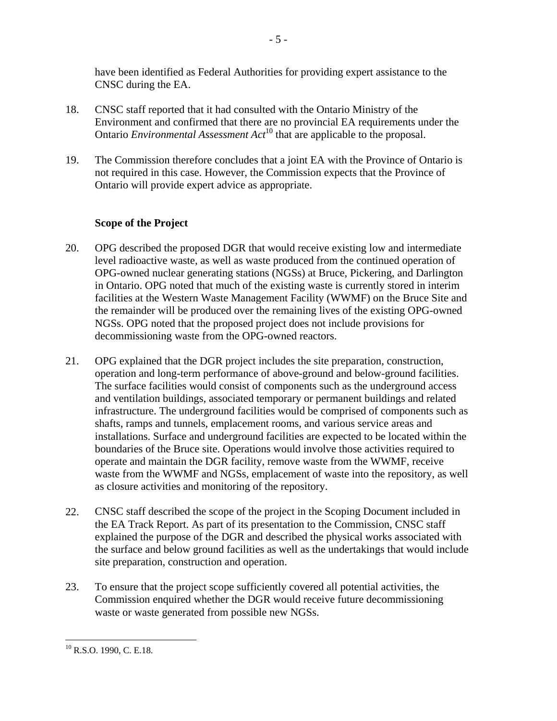have been identified as Federal Authorities for providing expert assistance to the CNSC during the EA.

- 18. CNSC staff reported that it had consulted with the Ontario Ministry of the Environment and confirmed that there are no provincial EA requirements under the Ontario *Environmental Assessment Act*<sup>10</sup> that are applicable to the proposal.
- 19. The Commission therefore concludes that a joint EA with the Province of Ontario is not required in this case. However, the Commission expects that the Province of Ontario will provide expert advice as appropriate.

### **Scope of the Project**

- 20. OPG described the proposed DGR that would receive existing low and intermediate level radioactive waste, as well as waste produced from the continued operation of OPG-owned nuclear generating stations (NGSs) at Bruce, Pickering, and Darlington in Ontario. OPG noted that much of the existing waste is currently stored in interim facilities at the Western Waste Management Facility (WWMF) on the Bruce Site and the remainder will be produced over the remaining lives of the existing OPG-owned NGSs. OPG noted that the proposed project does not include provisions for decommissioning waste from the OPG-owned reactors.
- 21. OPG explained that the DGR project includes the site preparation, construction, operation and long-term performance of above-ground and below-ground facilities. The surface facilities would consist of components such as the underground access and ventilation buildings, associated temporary or permanent buildings and related infrastructure. The underground facilities would be comprised of components such as shafts, ramps and tunnels, emplacement rooms, and various service areas and installations. Surface and underground facilities are expected to be located within the boundaries of the Bruce site. Operations would involve those activities required to operate and maintain the DGR facility, remove waste from the WWMF, receive waste from the WWMF and NGSs, emplacement of waste into the repository, as well as closure activities and monitoring of the repository.
- 22. CNSC staff described the scope of the project in the Scoping Document included in the EA Track Report. As part of its presentation to the Commission, CNSC staff explained the purpose of the DGR and described the physical works associated with the surface and below ground facilities as well as the undertakings that would include site preparation, construction and operation.
- 23. To ensure that the project scope sufficiently covered all potential activities, the Commission enquired whether the DGR would receive future decommissioning waste or waste generated from possible new NGSs.

 $\overline{a}$  $10$  R.S.O. 1990, C. E.18.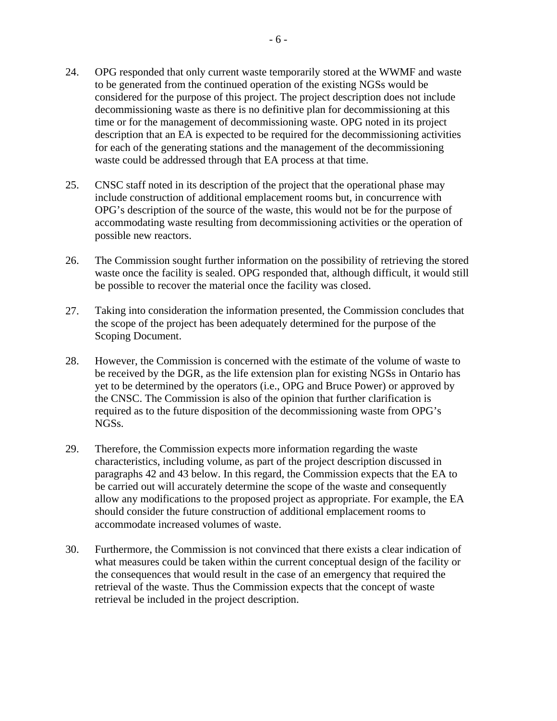- 24. OPG responded that only current waste temporarily stored at the WWMF and waste to be generated from the continued operation of the existing NGSs would be considered for the purpose of this project. The project description does not include decommissioning waste as there is no definitive plan for decommissioning at this time or for the management of decommissioning waste. OPG noted in its project description that an EA is expected to be required for the decommissioning activities for each of the generating stations and the management of the decommissioning waste could be addressed through that EA process at that time.
- 25. CNSC staff noted in its description of the project that the operational phase may include construction of additional emplacement rooms but, in concurrence with OPG's description of the source of the waste, this would not be for the purpose of accommodating waste resulting from decommissioning activities or the operation of possible new reactors.
- 26. The Commission sought further information on the possibility of retrieving the stored waste once the facility is sealed. OPG responded that, although difficult, it would still be possible to recover the material once the facility was closed.
- 27. Taking into consideration the information presented, the Commission concludes that the scope of the project has been adequately determined for the purpose of the Scoping Document.
- 28. However, the Commission is concerned with the estimate of the volume of waste to be received by the DGR, as the life extension plan for existing NGSs in Ontario has yet to be determined by the operators (i.e., OPG and Bruce Power) or approved by the CNSC. The Commission is also of the opinion that further clarification is required as to the future disposition of the decommissioning waste from OPG's NGSs.
- 29. Therefore, the Commission expects more information regarding the waste characteristics, including volume, as part of the project description discussed in paragraphs 42 and 43 below. In this regard, the Commission expects that the EA to be carried out will accurately determine the scope of the waste and consequently allow any modifications to the proposed project as appropriate. For example, the EA should consider the future construction of additional emplacement rooms to accommodate increased volumes of waste.
- 30. Furthermore, the Commission is not convinced that there exists a clear indication of what measures could be taken within the current conceptual design of the facility or the consequences that would result in the case of an emergency that required the retrieval of the waste. Thus the Commission expects that the concept of waste retrieval be included in the project description.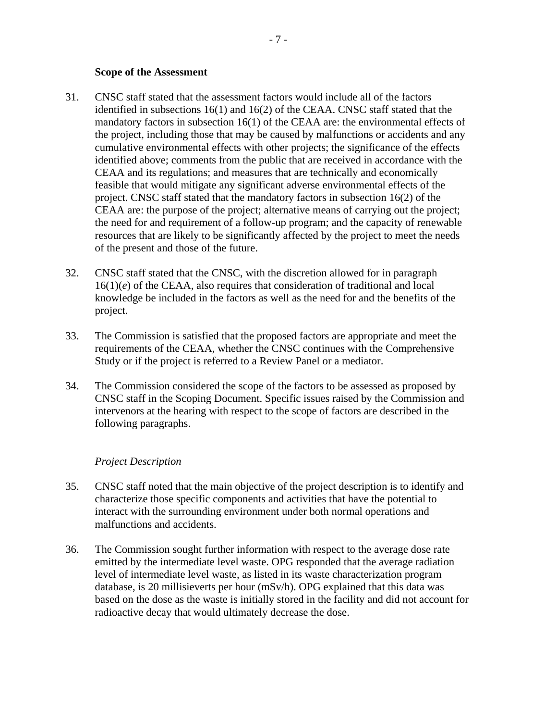#### **Scope of the Assessment**

- 31. CNSC staff stated that the assessment factors would include all of the factors identified in subsections 16(1) and 16(2) of the CEAA. CNSC staff stated that the mandatory factors in subsection 16(1) of the CEAA are: the environmental effects of the project, including those that may be caused by malfunctions or accidents and any cumulative environmental effects with other projects; the significance of the effects identified above; comments from the public that are received in accordance with the CEAA and its regulations; and measures that are technically and economically feasible that would mitigate any significant adverse environmental effects of the project. CNSC staff stated that the mandatory factors in subsection 16(2) of the CEAA are: the purpose of the project; alternative means of carrying out the project; the need for and requirement of a follow-up program; and the capacity of renewable resources that are likely to be significantly affected by the project to meet the needs of the present and those of the future.
- 32. CNSC staff stated that the CNSC, with the discretion allowed for in paragraph 16(1)(*e*) of the CEAA, also requires that consideration of traditional and local knowledge be included in the factors as well as the need for and the benefits of the project.
- 33. The Commission is satisfied that the proposed factors are appropriate and meet the requirements of the CEAA, whether the CNSC continues with the Comprehensive Study or if the project is referred to a Review Panel or a mediator.
- 34. The Commission considered the scope of the factors to be assessed as proposed by CNSC staff in the Scoping Document. Specific issues raised by the Commission and intervenors at the hearing with respect to the scope of factors are described in the following paragraphs.

#### *Project Description*

- 35. CNSC staff noted that the main objective of the project description is to identify and characterize those specific components and activities that have the potential to interact with the surrounding environment under both normal operations and malfunctions and accidents.
- 36. The Commission sought further information with respect to the average dose rate emitted by the intermediate level waste. OPG responded that the average radiation level of intermediate level waste, as listed in its waste characterization program database, is 20 millisieverts per hour (mSv/h). OPG explained that this data was based on the dose as the waste is initially stored in the facility and did not account for radioactive decay that would ultimately decrease the dose.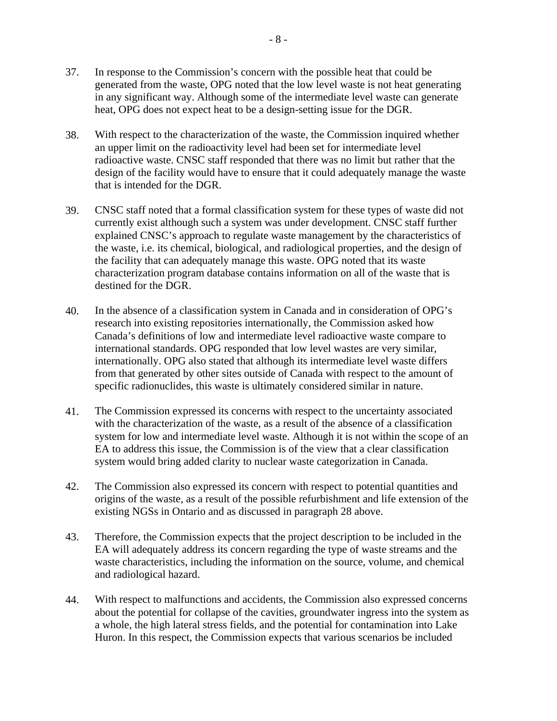- 37. In response to the Commission's concern with the possible heat that could be generated from the waste, OPG noted that the low level waste is not heat generating in any significant way. Although some of the intermediate level waste can generate heat, OPG does not expect heat to be a design-setting issue for the DGR.
- 38. With respect to the characterization of the waste, the Commission inquired whether an upper limit on the radioactivity level had been set for intermediate level radioactive waste. CNSC staff responded that there was no limit but rather that the design of the facility would have to ensure that it could adequately manage the waste that is intended for the DGR.
- 39. CNSC staff noted that a formal classification system for these types of waste did not currently exist although such a system was under development. CNSC staff further explained CNSC's approach to regulate waste management by the characteristics of the waste, i.e. its chemical, biological, and radiological properties, and the design of the facility that can adequately manage this waste. OPG noted that its waste characterization program database contains information on all of the waste that is destined for the DGR.
- 40. In the absence of a classification system in Canada and in consideration of OPG's research into existing repositories internationally, the Commission asked how Canada's definitions of low and intermediate level radioactive waste compare to international standards. OPG responded that low level wastes are very similar, internationally. OPG also stated that although its intermediate level waste differs from that generated by other sites outside of Canada with respect to the amount of specific radionuclides, this waste is ultimately considered similar in nature.
- 41. The Commission expressed its concerns with respect to the uncertainty associated with the characterization of the waste, as a result of the absence of a classification system for low and intermediate level waste. Although it is not within the scope of an EA to address this issue, the Commission is of the view that a clear classification system would bring added clarity to nuclear waste categorization in Canada.
- 42. The Commission also expressed its concern with respect to potential quantities and origins of the waste, as a result of the possible refurbishment and life extension of the existing NGSs in Ontario and as discussed in paragraph 28 above.
- 43. Therefore, the Commission expects that the project description to be included in the EA will adequately address its concern regarding the type of waste streams and the waste characteristics, including the information on the source, volume, and chemical and radiological hazard.
- 44. With respect to malfunctions and accidents, the Commission also expressed concerns about the potential for collapse of the cavities, groundwater ingress into the system as a whole, the high lateral stress fields, and the potential for contamination into Lake Huron. In this respect, the Commission expects that various scenarios be included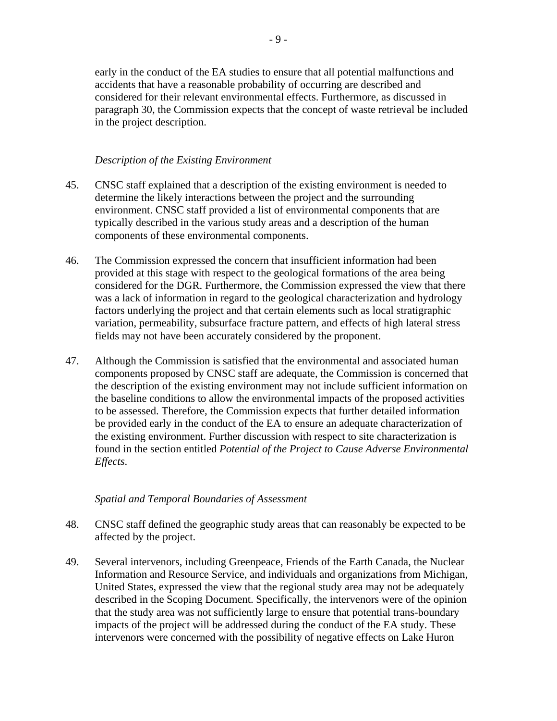early in the conduct of the EA studies to ensure that all potential malfunctions and accidents that have a reasonable probability of occurring are described and considered for their relevant environmental effects. Furthermore, as discussed in paragraph 30, the Commission expects that the concept of waste retrieval be included in the project description.

#### *Description of the Existing Environment*

- 45. CNSC staff explained that a description of the existing environment is needed to determine the likely interactions between the project and the surrounding environment. CNSC staff provided a list of environmental components that are typically described in the various study areas and a description of the human components of these environmental components.
- 46. The Commission expressed the concern that insufficient information had been provided at this stage with respect to the geological formations of the area being considered for the DGR. Furthermore, the Commission expressed the view that there was a lack of information in regard to the geological characterization and hydrology factors underlying the project and that certain elements such as local stratigraphic variation, permeability, subsurface fracture pattern, and effects of high lateral stress fields may not have been accurately considered by the proponent.
- 47. Although the Commission is satisfied that the environmental and associated human components proposed by CNSC staff are adequate, the Commission is concerned that the description of the existing environment may not include sufficient information on the baseline conditions to allow the environmental impacts of the proposed activities to be assessed. Therefore, the Commission expects that further detailed information be provided early in the conduct of the EA to ensure an adequate characterization of the existing environment. Further discussion with respect to site characterization is found in the section entitled *Potential of the Project to Cause Adverse Environmental Effects*.

#### *Spatial and Temporal Boundaries of Assessment*

- 48. CNSC staff defined the geographic study areas that can reasonably be expected to be affected by the project.
- 49. Several intervenors, including Greenpeace, Friends of the Earth Canada, the Nuclear Information and Resource Service, and individuals and organizations from Michigan, United States, expressed the view that the regional study area may not be adequately described in the Scoping Document. Specifically, the intervenors were of the opinion that the study area was not sufficiently large to ensure that potential trans-boundary impacts of the project will be addressed during the conduct of the EA study. These intervenors were concerned with the possibility of negative effects on Lake Huron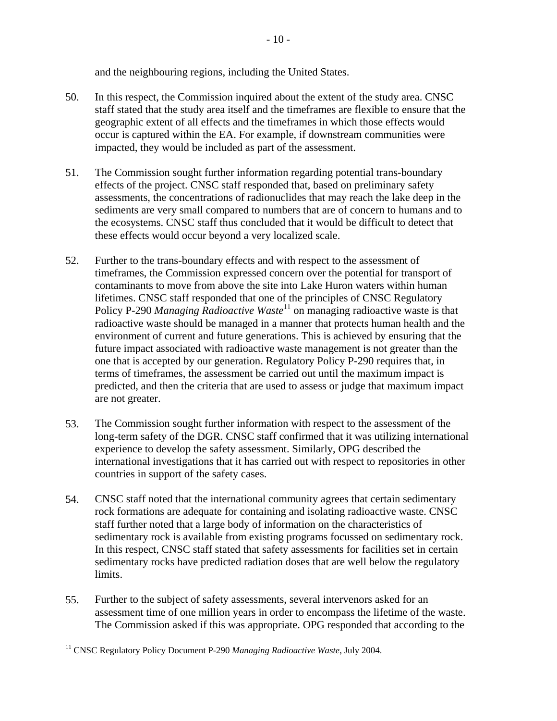and the neighbouring regions, including the United States.

- 50. In this respect, the Commission inquired about the extent of the study area. CNSC staff stated that the study area itself and the timeframes are flexible to ensure that the geographic extent of all effects and the timeframes in which those effects would occur is captured within the EA. For example, if downstream communities were impacted, they would be included as part of the assessment.
- 51. The Commission sought further information regarding potential trans-boundary effects of the project. CNSC staff responded that, based on preliminary safety assessments, the concentrations of radionuclides that may reach the lake deep in the sediments are very small compared to numbers that are of concern to humans and to the ecosystems. CNSC staff thus concluded that it would be difficult to detect that these effects would occur beyond a very localized scale.
- 52. Further to the trans-boundary effects and with respect to the assessment of timeframes, the Commission expressed concern over the potential for transport of contaminants to move from above the site into Lake Huron waters within human lifetimes. CNSC staff responded that one of the principles of CNSC Regulatory Policy P-290 *Managing Radioactive Waste*11 on managing radioactive waste is that radioactive waste should be managed in a manner that protects human health and the environment of current and future generations. This is achieved by ensuring that the future impact associated with radioactive waste management is not greater than the one that is accepted by our generation. Regulatory Policy P-290 requires that, in terms of timeframes, the assessment be carried out until the maximum impact is predicted, and then the criteria that are used to assess or judge that maximum impact are not greater.
- 53. The Commission sought further information with respect to the assessment of the long-term safety of the DGR. CNSC staff confirmed that it was utilizing international experience to develop the safety assessment. Similarly, OPG described the international investigations that it has carried out with respect to repositories in other countries in support of the safety cases.
- 54. CNSC staff noted that the international community agrees that certain sedimentary rock formations are adequate for containing and isolating radioactive waste. CNSC staff further noted that a large body of information on the characteristics of sedimentary rock is available from existing programs focussed on sedimentary rock. In this respect, CNSC staff stated that safety assessments for facilities set in certain sedimentary rocks have predicted radiation doses that are well below the regulatory limits.
- 55. Further to the subject of safety assessments, several intervenors asked for an assessment time of one million years in order to encompass the lifetime of the waste. The Commission asked if this was appropriate. OPG responded that according to the

<u>.</u>

<sup>&</sup>lt;sup>11</sup> CNSC Regulatory Policy Document P-290 *Managing Radioactive Waste*, July 2004.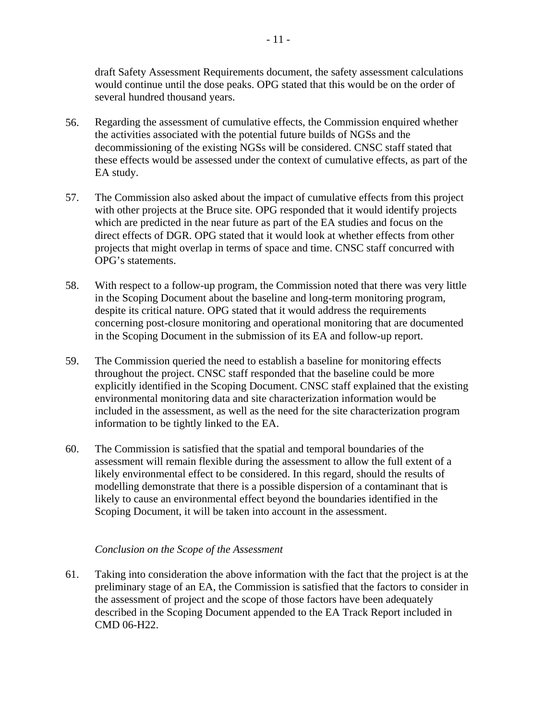draft Safety Assessment Requirements document, the safety assessment calculations would continue until the dose peaks. OPG stated that this would be on the order of several hundred thousand years.

- 56. Regarding the assessment of cumulative effects, the Commission enquired whether the activities associated with the potential future builds of NGSs and the decommissioning of the existing NGSs will be considered. CNSC staff stated that these effects would be assessed under the context of cumulative effects, as part of the EA study.
- 57. The Commission also asked about the impact of cumulative effects from this project with other projects at the Bruce site. OPG responded that it would identify projects which are predicted in the near future as part of the EA studies and focus on the direct effects of DGR. OPG stated that it would look at whether effects from other projects that might overlap in terms of space and time. CNSC staff concurred with OPG's statements.
- 58. With respect to a follow-up program, the Commission noted that there was very little in the Scoping Document about the baseline and long-term monitoring program, despite its critical nature. OPG stated that it would address the requirements concerning post-closure monitoring and operational monitoring that are documented in the Scoping Document in the submission of its EA and follow-up report.
- 59. The Commission queried the need to establish a baseline for monitoring effects throughout the project. CNSC staff responded that the baseline could be more explicitly identified in the Scoping Document. CNSC staff explained that the existing environmental monitoring data and site characterization information would be included in the assessment, as well as the need for the site characterization program information to be tightly linked to the EA.
- 60. The Commission is satisfied that the spatial and temporal boundaries of the assessment will remain flexible during the assessment to allow the full extent of a likely environmental effect to be considered. In this regard, should the results of modelling demonstrate that there is a possible dispersion of a contaminant that is likely to cause an environmental effect beyond the boundaries identified in the Scoping Document, it will be taken into account in the assessment.

#### *Conclusion on the Scope of the Assessment*

61. Taking into consideration the above information with the fact that the project is at the preliminary stage of an EA, the Commission is satisfied that the factors to consider in the assessment of project and the scope of those factors have been adequately described in the Scoping Document appended to the EA Track Report included in CMD 06-H22.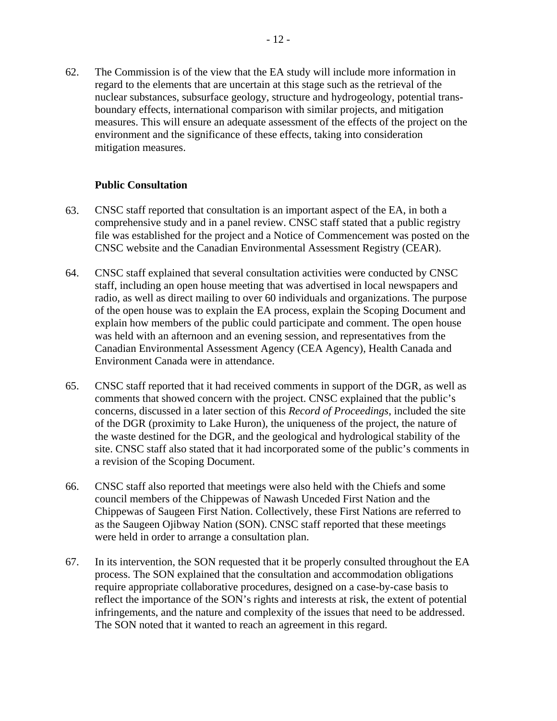62. The Commission is of the view that the EA study will include more information in regard to the elements that are uncertain at this stage such as the retrieval of the nuclear substances, subsurface geology, structure and hydrogeology, potential transboundary effects, international comparison with similar projects, and mitigation measures. This will ensure an adequate assessment of the effects of the project on the environment and the significance of these effects, taking into consideration mitigation measures.

#### **Public Consultation**

- 63. CNSC staff reported that consultation is an important aspect of the EA, in both a comprehensive study and in a panel review. CNSC staff stated that a public registry file was established for the project and a Notice of Commencement was posted on the CNSC website and the Canadian Environmental Assessment Registry (CEAR).
- 64. CNSC staff explained that several consultation activities were conducted by CNSC staff, including an open house meeting that was advertised in local newspapers and radio, as well as direct mailing to over 60 individuals and organizations. The purpose of the open house was to explain the EA process, explain the Scoping Document and explain how members of the public could participate and comment. The open house was held with an afternoon and an evening session, and representatives from the Canadian Environmental Assessment Agency (CEA Agency), Health Canada and Environment Canada were in attendance.
- 65. CNSC staff reported that it had received comments in support of the DGR, as well as comments that showed concern with the project. CNSC explained that the public's concerns, discussed in a later section of this *Record of Proceedings*, included the site of the DGR (proximity to Lake Huron), the uniqueness of the project, the nature of the waste destined for the DGR, and the geological and hydrological stability of the site. CNSC staff also stated that it had incorporated some of the public's comments in a revision of the Scoping Document.
- 66. CNSC staff also reported that meetings were also held with the Chiefs and some council members of the Chippewas of Nawash Unceded First Nation and the Chippewas of Saugeen First Nation. Collectively, these First Nations are referred to as the Saugeen Ojibway Nation (SON). CNSC staff reported that these meetings were held in order to arrange a consultation plan.
- 67. In its intervention, the SON requested that it be properly consulted throughout the EA process. The SON explained that the consultation and accommodation obligations require appropriate collaborative procedures, designed on a case-by-case basis to reflect the importance of the SON's rights and interests at risk, the extent of potential infringements, and the nature and complexity of the issues that need to be addressed. The SON noted that it wanted to reach an agreement in this regard.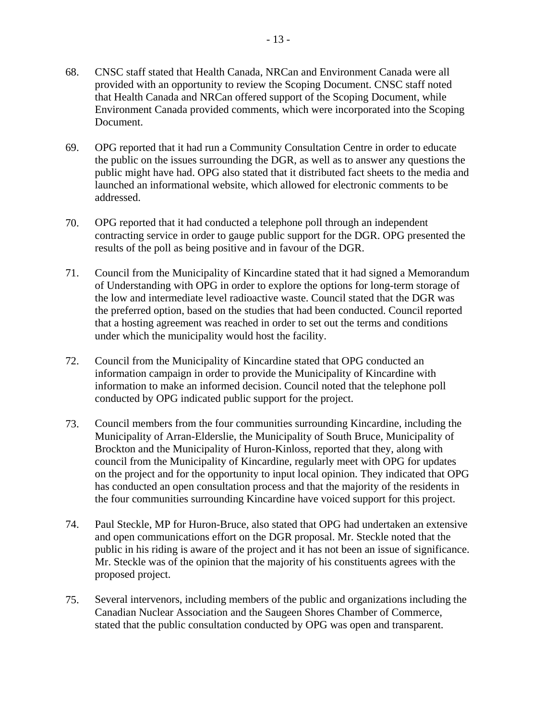- 68. CNSC staff stated that Health Canada, NRCan and Environment Canada were all provided with an opportunity to review the Scoping Document. CNSC staff noted that Health Canada and NRCan offered support of the Scoping Document, while Environment Canada provided comments, which were incorporated into the Scoping Document.
- 69. OPG reported that it had run a Community Consultation Centre in order to educate the public on the issues surrounding the DGR, as well as to answer any questions the public might have had. OPG also stated that it distributed fact sheets to the media and launched an informational website, which allowed for electronic comments to be addressed.
- 70. OPG reported that it had conducted a telephone poll through an independent contracting service in order to gauge public support for the DGR. OPG presented the results of the poll as being positive and in favour of the DGR.
- 71. Council from the Municipality of Kincardine stated that it had signed a Memorandum of Understanding with OPG in order to explore the options for long-term storage of the low and intermediate level radioactive waste. Council stated that the DGR was the preferred option, based on the studies that had been conducted. Council reported that a hosting agreement was reached in order to set out the terms and conditions under which the municipality would host the facility.
- 72. Council from the Municipality of Kincardine stated that OPG conducted an information campaign in order to provide the Municipality of Kincardine with information to make an informed decision. Council noted that the telephone poll conducted by OPG indicated public support for the project.
- 73. Council members from the four communities surrounding Kincardine, including the Municipality of Arran-Elderslie, the Municipality of South Bruce, Municipality of Brockton and the Municipality of Huron-Kinloss, reported that they, along with council from the Municipality of Kincardine, regularly meet with OPG for updates on the project and for the opportunity to input local opinion. They indicated that OPG has conducted an open consultation process and that the majority of the residents in the four communities surrounding Kincardine have voiced support for this project.
- 74. Paul Steckle, MP for Huron-Bruce, also stated that OPG had undertaken an extensive and open communications effort on the DGR proposal. Mr. Steckle noted that the public in his riding is aware of the project and it has not been an issue of significance. Mr. Steckle was of the opinion that the majority of his constituents agrees with the proposed project.
- 75. Several intervenors, including members of the public and organizations including the Canadian Nuclear Association and the Saugeen Shores Chamber of Commerce, stated that the public consultation conducted by OPG was open and transparent.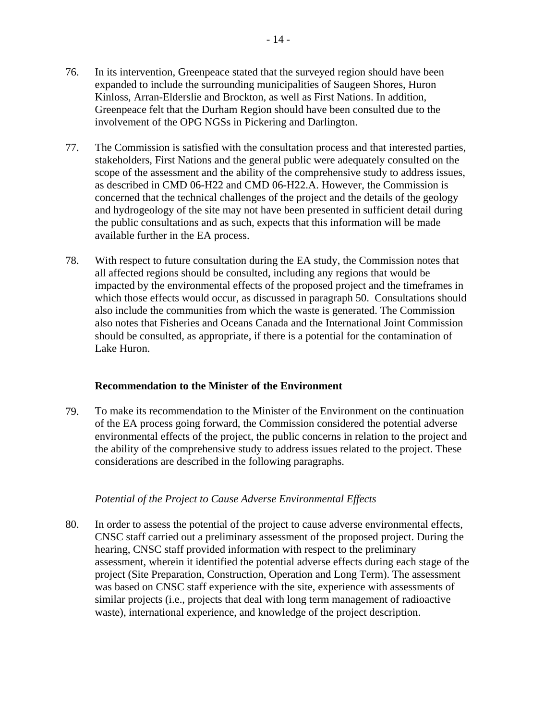- 76. In its intervention, Greenpeace stated that the surveyed region should have been expanded to include the surrounding municipalities of Saugeen Shores, Huron Kinloss, Arran-Elderslie and Brockton, as well as First Nations. In addition, Greenpeace felt that the Durham Region should have been consulted due to the involvement of the OPG NGSs in Pickering and Darlington.
- 77. The Commission is satisfied with the consultation process and that interested parties, stakeholders, First Nations and the general public were adequately consulted on the scope of the assessment and the ability of the comprehensive study to address issues, as described in CMD 06-H22 and CMD 06-H22.A. However, the Commission is concerned that the technical challenges of the project and the details of the geology and hydrogeology of the site may not have been presented in sufficient detail during the public consultations and as such, expects that this information will be made available further in the EA process.
- 78. With respect to future consultation during the EA study, the Commission notes that all affected regions should be consulted, including any regions that would be impacted by the environmental effects of the proposed project and the timeframes in which those effects would occur, as discussed in paragraph 50. Consultations should also include the communities from which the waste is generated. The Commission also notes that Fisheries and Oceans Canada and the International Joint Commission should be consulted, as appropriate, if there is a potential for the contamination of Lake Huron.

#### **Recommendation to the Minister of the Environment**

79. To make its recommendation to the Minister of the Environment on the continuation of the EA process going forward, the Commission considered the potential adverse environmental effects of the project, the public concerns in relation to the project and the ability of the comprehensive study to address issues related to the project. These considerations are described in the following paragraphs.

#### *Potential of the Project to Cause Adverse Environmental Effects*

80. In order to assess the potential of the project to cause adverse environmental effects, CNSC staff carried out a preliminary assessment of the proposed project. During the hearing, CNSC staff provided information with respect to the preliminary assessment, wherein it identified the potential adverse effects during each stage of the project (Site Preparation, Construction, Operation and Long Term). The assessment was based on CNSC staff experience with the site, experience with assessments of similar projects (i.e., projects that deal with long term management of radioactive waste), international experience, and knowledge of the project description.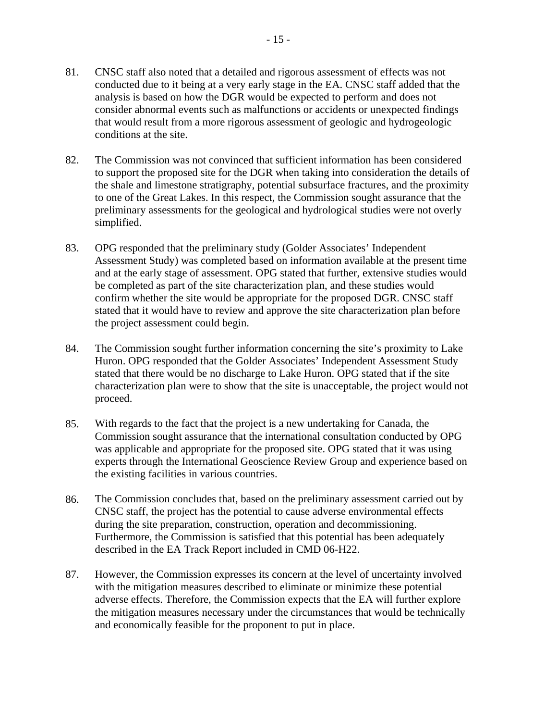- 81. CNSC staff also noted that a detailed and rigorous assessment of effects was not conducted due to it being at a very early stage in the EA. CNSC staff added that the analysis is based on how the DGR would be expected to perform and does not consider abnormal events such as malfunctions or accidents or unexpected findings that would result from a more rigorous assessment of geologic and hydrogeologic conditions at the site.
- 82. The Commission was not convinced that sufficient information has been considered to support the proposed site for the DGR when taking into consideration the details of the shale and limestone stratigraphy, potential subsurface fractures, and the proximity to one of the Great Lakes. In this respect, the Commission sought assurance that the preliminary assessments for the geological and hydrological studies were not overly simplified.
- 83. OPG responded that the preliminary study (Golder Associates' Independent Assessment Study) was completed based on information available at the present time and at the early stage of assessment. OPG stated that further, extensive studies would be completed as part of the site characterization plan, and these studies would confirm whether the site would be appropriate for the proposed DGR. CNSC staff stated that it would have to review and approve the site characterization plan before the project assessment could begin.
- 84. The Commission sought further information concerning the site's proximity to Lake Huron. OPG responded that the Golder Associates' Independent Assessment Study stated that there would be no discharge to Lake Huron. OPG stated that if the site characterization plan were to show that the site is unacceptable, the project would not proceed.
- 85. With regards to the fact that the project is a new undertaking for Canada, the Commission sought assurance that the international consultation conducted by OPG was applicable and appropriate for the proposed site. OPG stated that it was using experts through the International Geoscience Review Group and experience based on the existing facilities in various countries.
- 86. The Commission concludes that, based on the preliminary assessment carried out by CNSC staff, the project has the potential to cause adverse environmental effects during the site preparation, construction, operation and decommissioning. Furthermore, the Commission is satisfied that this potential has been adequately described in the EA Track Report included in CMD 06-H22.
- 87. However, the Commission expresses its concern at the level of uncertainty involved with the mitigation measures described to eliminate or minimize these potential adverse effects. Therefore, the Commission expects that the EA will further explore the mitigation measures necessary under the circumstances that would be technically and economically feasible for the proponent to put in place.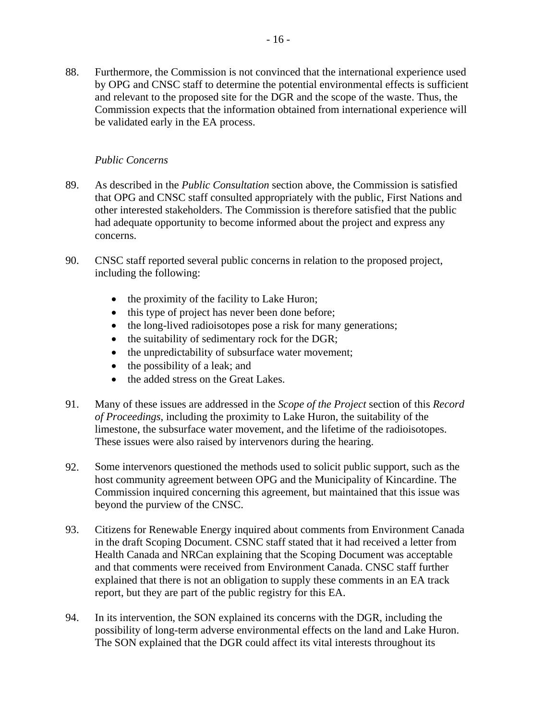88. Furthermore, the Commission is not convinced that the international experience used by OPG and CNSC staff to determine the potential environmental effects is sufficient and relevant to the proposed site for the DGR and the scope of the waste. Thus, the Commission expects that the information obtained from international experience will be validated early in the EA process.

#### *Public Concerns*

- 89. As described in the *Public Consultation* section above, the Commission is satisfied that OPG and CNSC staff consulted appropriately with the public, First Nations and other interested stakeholders. The Commission is therefore satisfied that the public had adequate opportunity to become informed about the project and express any concerns.
- 90. CNSC staff reported several public concerns in relation to the proposed project, including the following:
	- the proximity of the facility to Lake Huron;
	- this type of project has never been done before;
	- the long-lived radioisotopes pose a risk for many generations;
	- the suitability of sedimentary rock for the DGR;
	- the unpredictability of subsurface water movement;
	- the possibility of a leak; and
	- the added stress on the Great Lakes.
- 91. Many of these issues are addressed in the *Scope of the Project* section of this *Record of Proceedings*, including the proximity to Lake Huron, the suitability of the limestone, the subsurface water movement, and the lifetime of the radioisotopes. These issues were also raised by intervenors during the hearing.
- 92. Some intervenors questioned the methods used to solicit public support, such as the host community agreement between OPG and the Municipality of Kincardine. The Commission inquired concerning this agreement, but maintained that this issue was beyond the purview of the CNSC.
- 93. Citizens for Renewable Energy inquired about comments from Environment Canada in the draft Scoping Document. CSNC staff stated that it had received a letter from Health Canada and NRCan explaining that the Scoping Document was acceptable and that comments were received from Environment Canada. CNSC staff further explained that there is not an obligation to supply these comments in an EA track report, but they are part of the public registry for this EA.
- 94. In its intervention, the SON explained its concerns with the DGR, including the possibility of long-term adverse environmental effects on the land and Lake Huron. The SON explained that the DGR could affect its vital interests throughout its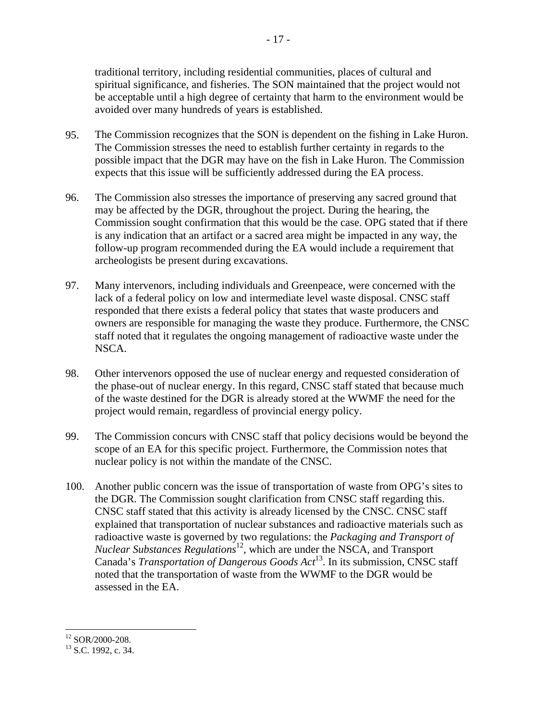traditional territory, including residential communities, places of cultural and spiritual significance, and fisheries. The SON maintained that the project would not be acceptable until a high degree of certainty that harm to the environment would be avoided over many hundreds of years is established.

- 95. The Commission recognizes that the SON is dependent on the fishing in Lake Huron. The Commission stresses the need to establish further certainty in regards to the possible impact that the DGR may have on the fish in Lake Huron. The Commission expects that this issue will be sufficiently addressed during the EA process.
- 96. The Commission also stresses the importance of preserving any sacred ground that may be affected by the DGR, throughout the project. During the hearing, the Commission sought confirmation that this would be the case. OPG stated that if there is any indication that an artifact or a sacred area might be impacted in any way, the follow-up program recommended during the EA would include a requirement that archeologists be present during excavations.
- 97. Many intervenors, including individuals and Greenpeace, were concerned with the lack of a federal policy on low and intermediate level waste disposal. CNSC staff responded that there exists a federal policy that states that waste producers and owners are responsible for managing the waste they produce. Furthermore, the CNSC staff noted that it regulates the ongoing management of radioactive waste under the NSCA.
- 98. Other intervenors opposed the use of nuclear energy and requested consideration of the phase-out of nuclear energy. In this regard, CNSC staff stated that because much of the waste destined for the DGR is already stored at the WWMF the need for the project would remain, regardless of provincial energy policy.
- 99. The Commission concurs with CNSC staff that policy decisions would be beyond the scope of an EA for this specific project. Furthermore, the Commission notes that nuclear policy is not within the mandate of the CNSC.
- 100. Another public concern was the issue of transportation of waste from OPG's sites to the DGR. The Commission sought clarification from CNSC staff regarding this. CNSC staff stated that this activity is already licensed by the CNSC. CNSC staff explained that transportation of nuclear substances and radioactive materials such as radioactive waste is governed by two regulations: the *Packaging and Transport of Nuclear Substances Regulations*12, which are under the NSCA, and Transport Canada's *Transportation of Dangerous Goods Act*13. In its submission, CNSC staff noted that the transportation of waste from the WWMF to the DGR would be assessed in the EA.

 $\overline{a}$  $12$  SOR/2000-208.

<sup>&</sup>lt;sup>13</sup> S.C. 1992, c. 34.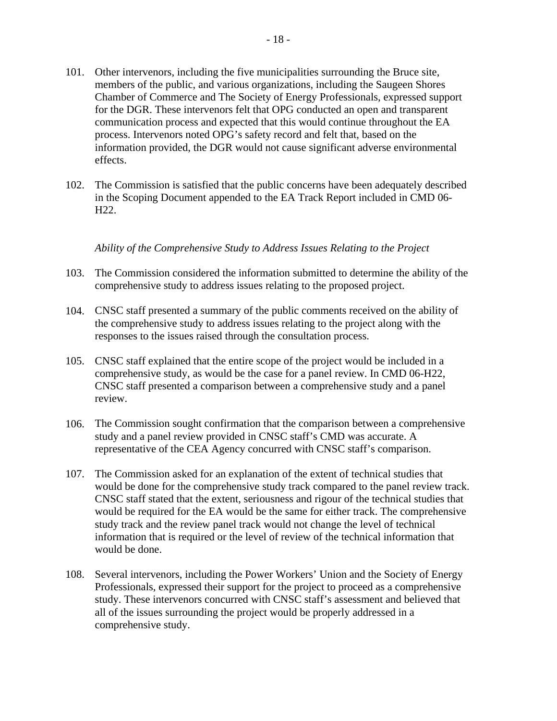- 101. Other intervenors, including the five municipalities surrounding the Bruce site, members of the public, and various organizations, including the Saugeen Shores Chamber of Commerce and The Society of Energy Professionals, expressed support for the DGR. These intervenors felt that OPG conducted an open and transparent communication process and expected that this would continue throughout the EA process. Intervenors noted OPG's safety record and felt that, based on the information provided, the DGR would not cause significant adverse environmental effects.
- 102. The Commission is satisfied that the public concerns have been adequately described in the Scoping Document appended to the EA Track Report included in CMD 06- H22.

#### *Ability of the Comprehensive Study to Address Issues Relating to the Project*

- 103. The Commission considered the information submitted to determine the ability of the comprehensive study to address issues relating to the proposed project.
- 104. CNSC staff presented a summary of the public comments received on the ability of the comprehensive study to address issues relating to the project along with the responses to the issues raised through the consultation process.
- 105. CNSC staff explained that the entire scope of the project would be included in a comprehensive study, as would be the case for a panel review. In CMD 06-H22, CNSC staff presented a comparison between a comprehensive study and a panel review.
- 106. The Commission sought confirmation that the comparison between a comprehensive study and a panel review provided in CNSC staff's CMD was accurate. A representative of the CEA Agency concurred with CNSC staff's comparison.
- 107. The Commission asked for an explanation of the extent of technical studies that would be done for the comprehensive study track compared to the panel review track. CNSC staff stated that the extent, seriousness and rigour of the technical studies that would be required for the EA would be the same for either track. The comprehensive study track and the review panel track would not change the level of technical information that is required or the level of review of the technical information that would be done.
- 108. Several intervenors, including the Power Workers' Union and the Society of Energy Professionals, expressed their support for the project to proceed as a comprehensive study. These intervenors concurred with CNSC staff's assessment and believed that all of the issues surrounding the project would be properly addressed in a comprehensive study.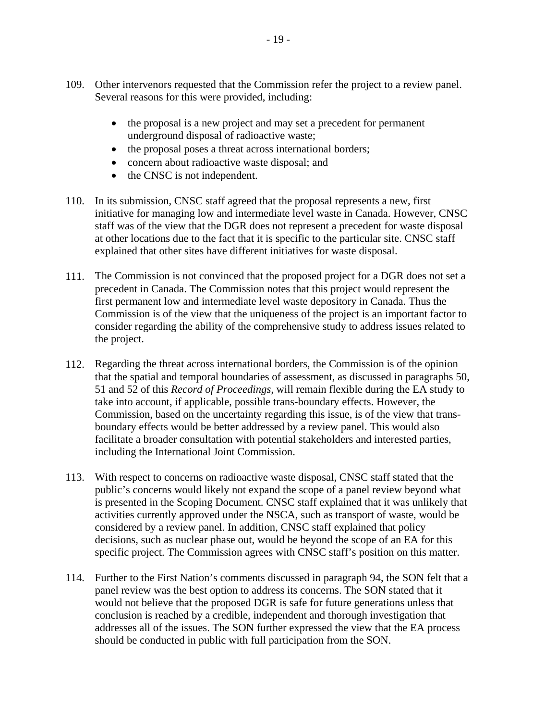- 109. Other intervenors requested that the Commission refer the project to a review panel. Several reasons for this were provided, including:
	- the proposal is a new project and may set a precedent for permanent underground disposal of radioactive waste;
	- the proposal poses a threat across international borders;
	- concern about radioactive waste disposal; and
	- the CNSC is not independent.
- 110. In its submission, CNSC staff agreed that the proposal represents a new, first initiative for managing low and intermediate level waste in Canada. However, CNSC staff was of the view that the DGR does not represent a precedent for waste disposal at other locations due to the fact that it is specific to the particular site. CNSC staff explained that other sites have different initiatives for waste disposal.
- 111. The Commission is not convinced that the proposed project for a DGR does not set a precedent in Canada. The Commission notes that this project would represent the first permanent low and intermediate level waste depository in Canada. Thus the Commission is of the view that the uniqueness of the project is an important factor to consider regarding the ability of the comprehensive study to address issues related to the project.
- 112. Regarding the threat across international borders, the Commission is of the opinion that the spatial and temporal boundaries of assessment, as discussed in paragraphs 50, 51 and 52 of this *Record of Proceedings,* will remain flexible during the EA study to take into account, if applicable, possible trans-boundary effects. However, the Commission, based on the uncertainty regarding this issue, is of the view that transboundary effects would be better addressed by a review panel. This would also facilitate a broader consultation with potential stakeholders and interested parties, including the International Joint Commission.
- 113. With respect to concerns on radioactive waste disposal, CNSC staff stated that the public's concerns would likely not expand the scope of a panel review beyond what is presented in the Scoping Document. CNSC staff explained that it was unlikely that activities currently approved under the NSCA, such as transport of waste, would be considered by a review panel. In addition, CNSC staff explained that policy decisions, such as nuclear phase out, would be beyond the scope of an EA for this specific project. The Commission agrees with CNSC staff's position on this matter.
- 114. Further to the First Nation's comments discussed in paragraph 94, the SON felt that a panel review was the best option to address its concerns. The SON stated that it would not believe that the proposed DGR is safe for future generations unless that conclusion is reached by a credible, independent and thorough investigation that addresses all of the issues. The SON further expressed the view that the EA process should be conducted in public with full participation from the SON.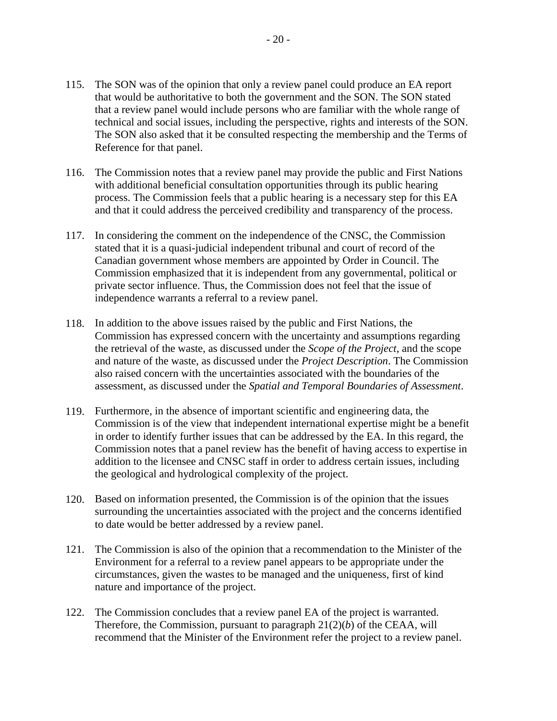- 115. The SON was of the opinion that only a review panel could produce an EA report that would be authoritative to both the government and the SON. The SON stated that a review panel would include persons who are familiar with the whole range of technical and social issues, including the perspective, rights and interests of the SON. The SON also asked that it be consulted respecting the membership and the Terms of Reference for that panel.
- 116. The Commission notes that a review panel may provide the public and First Nations with additional beneficial consultation opportunities through its public hearing process. The Commission feels that a public hearing is a necessary step for this EA and that it could address the perceived credibility and transparency of the process.
- 117. In considering the comment on the independence of the CNSC, the Commission stated that it is a quasi-judicial independent tribunal and court of record of the Canadian government whose members are appointed by Order in Council. The Commission emphasized that it is independent from any governmental, political or private sector influence. Thus, the Commission does not feel that the issue of independence warrants a referral to a review panel.
- 118. In addition to the above issues raised by the public and First Nations, the Commission has expressed concern with the uncertainty and assumptions regarding the retrieval of the waste, as discussed under the *Scope of the Project*, and the scope and nature of the waste, as discussed under the *Project Description*. The Commission also raised concern with the uncertainties associated with the boundaries of the assessment, as discussed under the *Spatial and Temporal Boundaries of Assessment*.
- 119. Furthermore, in the absence of important scientific and engineering data, the Commission is of the view that independent international expertise might be a benefit in order to identify further issues that can be addressed by the EA. In this regard, the Commission notes that a panel review has the benefit of having access to expertise in addition to the licensee and CNSC staff in order to address certain issues, including the geological and hydrological complexity of the project.
- 120. Based on information presented, the Commission is of the opinion that the issues surrounding the uncertainties associated with the project and the concerns identified to date would be better addressed by a review panel.
- 121. The Commission is also of the opinion that a recommendation to the Minister of the Environment for a referral to a review panel appears to be appropriate under the circumstances, given the wastes to be managed and the uniqueness, first of kind nature and importance of the project.
- 122. The Commission concludes that a review panel EA of the project is warranted. Therefore, the Commission, pursuant to paragraph 21(2)(*b*) of the CEAA, will recommend that the Minister of the Environment refer the project to a review panel.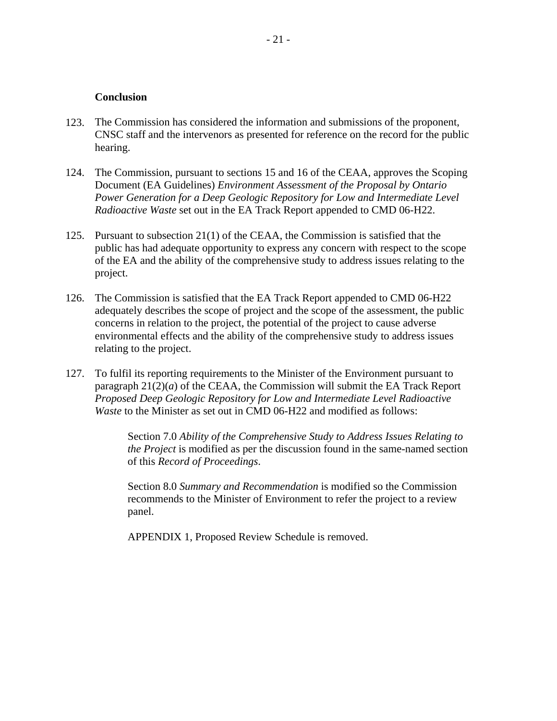#### **Conclusion**

- 123. The Commission has considered the information and submissions of the proponent, CNSC staff and the intervenors as presented for reference on the record for the public hearing.
- 124. The Commission, pursuant to sections 15 and 16 of the CEAA, approves the Scoping Document (EA Guidelines) *Environment Assessment of the Proposal by Ontario Power Generation for a Deep Geologic Repository for Low and Intermediate Level Radioactive Waste* set out in the EA Track Report appended to CMD 06-H22.
- 125. Pursuant to subsection 21(1) of the CEAA, the Commission is satisfied that the public has had adequate opportunity to express any concern with respect to the scope of the EA and the ability of the comprehensive study to address issues relating to the project.
- 126. The Commission is satisfied that the EA Track Report appended to CMD 06-H22 adequately describes the scope of project and the scope of the assessment, the public concerns in relation to the project, the potential of the project to cause adverse environmental effects and the ability of the comprehensive study to address issues relating to the project.
- 127. To fulfil its reporting requirements to the Minister of the Environment pursuant to paragraph  $21(2)(a)$  of the CEAA, the Commission will submit the EA Track Report *Proposed Deep Geologic Repository for Low and Intermediate Level Radioactive Waste* to the Minister as set out in CMD 06-H22 and modified as follows:

Section 7.0 *Ability of the Comprehensive Study to Address Issues Relating to the Project* is modified as per the discussion found in the same-named section of this *Record of Proceedings*.

Section 8.0 *Summary and Recommendation* is modified so the Commission recommends to the Minister of Environment to refer the project to a review panel.

APPENDIX 1, Proposed Review Schedule is removed.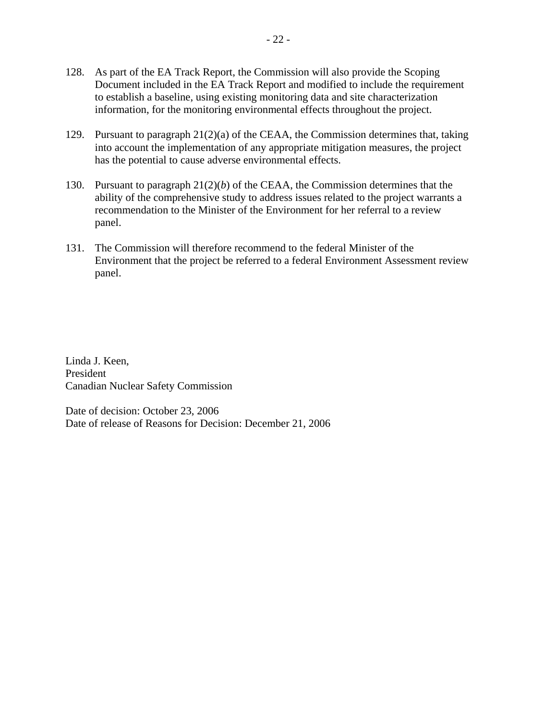- 128. As part of the EA Track Report, the Commission will also provide the Scoping Document included in the EA Track Report and modified to include the requirement to establish a baseline, using existing monitoring data and site characterization information, for the monitoring environmental effects throughout the project.
- 129. Pursuant to paragraph 21(2)(a) of the CEAA, the Commission determines that, taking into account the implementation of any appropriate mitigation measures, the project has the potential to cause adverse environmental effects.
- 130. Pursuant to paragraph 21(2)(*b*) of the CEAA, the Commission determines that the ability of the comprehensive study to address issues related to the project warrants a recommendation to the Minister of the Environment for her referral to a review panel.
- 131. The Commission will therefore recommend to the federal Minister of the Environment that the project be referred to a federal Environment Assessment review panel.

Linda J. Keen, President Canadian Nuclear Safety Commission

Date of decision: October 23, 2006 Date of release of Reasons for Decision: December 21, 2006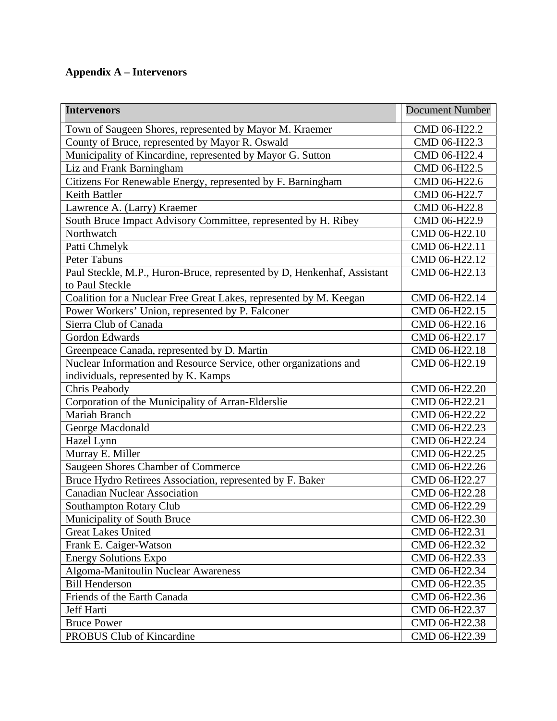# **Appendix A – Intervenors**

| <b>Intervenors</b>                                                      | <b>Document Number</b> |
|-------------------------------------------------------------------------|------------------------|
| Town of Saugeen Shores, represented by Mayor M. Kraemer                 | CMD 06-H22.2           |
| County of Bruce, represented by Mayor R. Oswald                         | CMD 06-H22.3           |
| Municipality of Kincardine, represented by Mayor G. Sutton              | CMD 06-H22.4           |
| Liz and Frank Barningham                                                | CMD 06-H22.5           |
| Citizens For Renewable Energy, represented by F. Barningham             | CMD 06-H22.6           |
| Keith Battler                                                           | CMD 06-H22.7           |
| Lawrence A. (Larry) Kraemer                                             | CMD 06-H22.8           |
| South Bruce Impact Advisory Committee, represented by H. Ribey          | CMD 06-H22.9           |
| Northwatch                                                              | CMD 06-H22.10          |
| Patti Chmelyk                                                           | CMD 06-H22.11          |
| <b>Peter Tabuns</b>                                                     | CMD 06-H22.12          |
| Paul Steckle, M.P., Huron-Bruce, represented by D, Henkenhaf, Assistant | CMD 06-H22.13          |
| to Paul Steckle                                                         |                        |
| Coalition for a Nuclear Free Great Lakes, represented by M. Keegan      | CMD 06-H22.14          |
| Power Workers' Union, represented by P. Falconer                        | CMD 06-H22.15          |
| Sierra Club of Canada                                                   | CMD 06-H22.16          |
| Gordon Edwards                                                          | CMD 06-H22.17          |
| Greenpeace Canada, represented by D. Martin                             | CMD 06-H22.18          |
| Nuclear Information and Resource Service, other organizations and       | CMD 06-H22.19          |
| individuals, represented by K. Kamps                                    |                        |
| Chris Peabody                                                           | CMD 06-H22.20          |
| Corporation of the Municipality of Arran-Elderslie                      | CMD 06-H22.21          |
| Mariah Branch                                                           | CMD 06-H22.22          |
| George Macdonald                                                        | CMD 06-H22.23          |
| Hazel Lynn                                                              | CMD 06-H22.24          |
| Murray E. Miller                                                        | CMD 06-H22.25          |
| Saugeen Shores Chamber of Commerce                                      | CMD 06-H22.26          |
| Bruce Hydro Retirees Association, represented by F. Baker               | CMD 06-H22.27          |
| <b>Canadian Nuclear Association</b>                                     | CMD 06-H22.28          |
| Southampton Rotary Club                                                 | CMD 06-H22.29          |
| Municipality of South Bruce                                             | CMD 06-H22.30          |
| <b>Great Lakes United</b>                                               | CMD 06-H22.31          |
| Frank E. Caiger-Watson                                                  | CMD 06-H22.32          |
| <b>Energy Solutions Expo</b>                                            | CMD 06-H22.33          |
| Algoma-Manitoulin Nuclear Awareness                                     | CMD 06-H22.34          |
| <b>Bill Henderson</b>                                                   | CMD 06-H22.35          |
| Friends of the Earth Canada                                             | CMD 06-H22.36          |
| Jeff Harti                                                              | CMD 06-H22.37          |
| <b>Bruce Power</b>                                                      | CMD 06-H22.38          |
| PROBUS Club of Kincardine                                               | CMD 06-H22.39          |